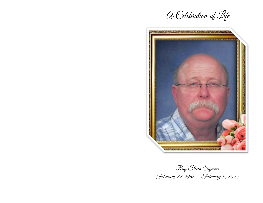A Celebration of Life



Ray Steven Sigmon February 22, 1958 – February 3, 2022